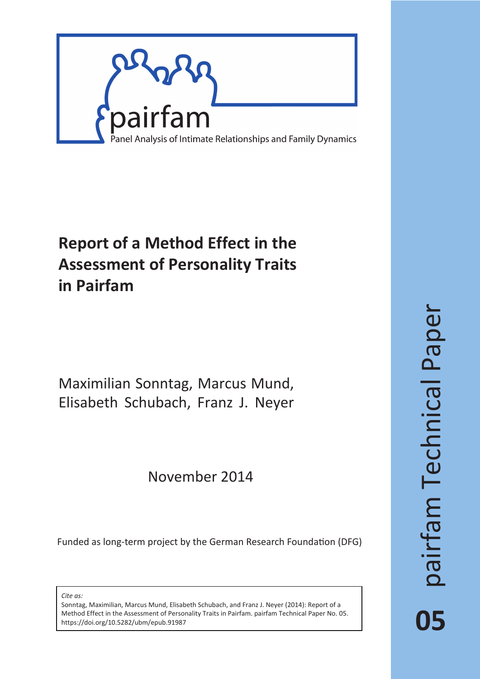

# **Report of a Method Effect in the Assessment of Personality Traits in Pairfam**

Maximilian Sonntag, Marcus Mund, Elisabeth Schubach, Franz J. Neyer

## November 2014

Funded as long-term project by the German Research Foundation (DFG)

*Cite as:*

Sonntag, Maximilian, Marcus Mund, Elisabeth Schubach, and Franz J. Neyer (2014): Report of a Method Effect in the Assessment of Personality Traits in Pairfam. pairfam Technical Paper No. 05. https://doi.org/10.5282/ubm/epub.91987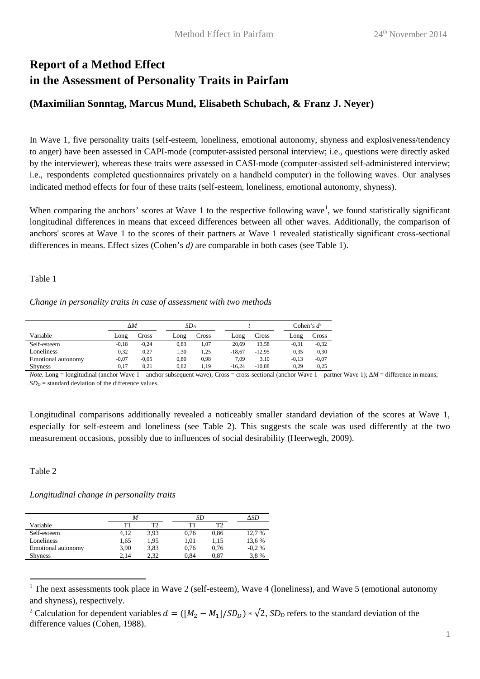## **Report of a Method Effect in the Assessment of Personality Traits in Pairfam**

## **(Maximilian Sonntag, Marcus Mund, Elisabeth Schubach, & Franz J. Neyer)**

In Wave 1, five personality traits (self-esteem, loneliness, emotional autonomy, shyness and explosiveness/tendency to anger) have been assessed in CAPI-mode (computer-assisted personal interview; i.e., questions were directly asked by the interviewer), whereas these traits were assessed in CASI-mode (computer-assisted self-administered interview; i.e., respondents completed questionnaires privately on a handheld computer) in the following waves. Our analyses indicated method effects for four of these traits (self-esteem, loneliness, emotional autonomy, shyness).

When comparing the anchors' scores at Wave 1 to the respective following wave<sup>1</sup>, we found statistically significant longitudinal differences in means that exceed differences between all other waves. Additionally, the comparison of anchors' scores at Wave 1 to the scores of their partners at Wave 1 revealed statistically significant cross-sectional differences in means. Effect sizes (Cohen's *d)* are comparable in both cases (see Table 1).

Table 1

*Change in personality traits in case of assessment with two methods* 

|                    |         | ΔΜ      |      | SD <sub>D</sub> |          |          |         | Cohen's $d^2$ |  |  |
|--------------------|---------|---------|------|-----------------|----------|----------|---------|---------------|--|--|
| Variable           | Long    | Cross   |      | Cross           | Long     | Cross    | Long    | Cross         |  |  |
| Self-esteem        | $-0,18$ | $-0.24$ | 0,83 | 1,07            | 20.69    | 13,58    | $-0,31$ | $-0,32$       |  |  |
| Loneliness         | 0,32    | 0,27    | 1,30 | 1,25            | $-18,67$ | $-12,95$ | 0,35    | 0,30          |  |  |
| Emotional autonomy | $-0,07$ | $-0,05$ | 0,80 | 0,98            | 7,09     | 3,10     | $-0,13$ | $-0,07$       |  |  |
| <b>Shyness</b>     | 0.17    | 0.21    | 0,82 | 1,19            | $-16.24$ | $-10.88$ | 0,29    | 0,25          |  |  |

*Note.* Long = longitudinal (anchor Wave 1 – anchor subsequent wave); Cross = cross-sectional (anchor Wave 1 – partner Wave 1); *∆M* = difference in means;  $SD<sub>D</sub>$  = standard deviation of the difference values.

Longitudinal comparisons additionally revealed a noticeably smaller standard deviation of the scores at Wave 1, especially for self-esteem and loneliness (see Table 2). This suggests the scale was used differently at the two measurement occasions, possibly due to influences of social desirability (Heerwegh, 2009).

Table 2

l

*Longitudinal change in personality traits* 

|                    | М    |      |      | SD   |         |  |  |  |
|--------------------|------|------|------|------|---------|--|--|--|
| Variable           | T1   | ፐን   | Т1   | ፐን   |         |  |  |  |
| Self-esteem        | 4,12 | 3,93 | 0,76 | 0,86 | 12,7 %  |  |  |  |
| Loneliness         | 1,65 | 1,95 | 1,01 | 1,15 | 13,6 %  |  |  |  |
| Emotional autonomy | 3,90 | 3,83 | 0,76 | 0,76 | $-0.2%$ |  |  |  |
| <b>Shyness</b>     | 2.14 | 2.32 | 0.84 | 0.87 | 3,8%    |  |  |  |
|                    |      |      |      |      |         |  |  |  |

 $1$  The next assessments took place in Wave 2 (self-esteem), Wave 4 (loneliness), and Wave 5 (emotional autonomy and shyness), respectively.

<sup>&</sup>lt;sup>2</sup> Calculation for dependent variables  $d = ([M_2 - M_1]/SD_D) * \sqrt{2}$ ,  $SD_D$  refers to the standard deviation of the difference values (Cohen, 1988).